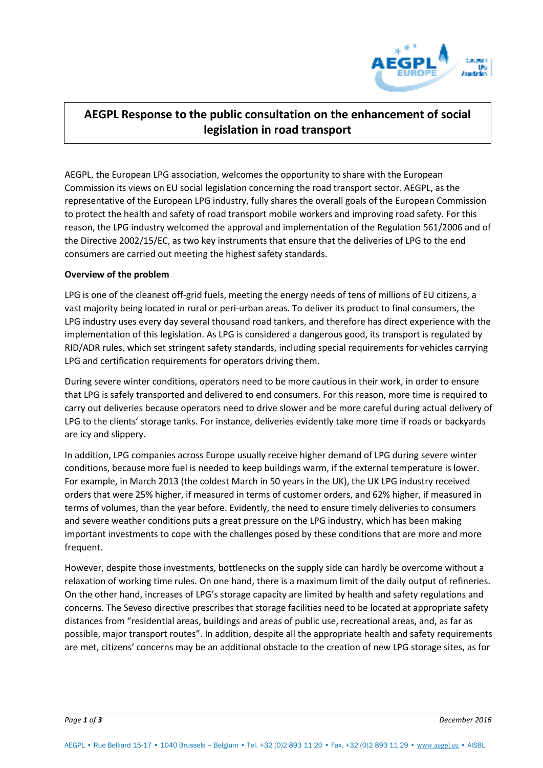

## **AEGPL Response to the public consultation on the enhancement of social legislation in road transport**

AEGPL, the European LPG association, welcomes the opportunity to share with the European Commission its views on EU social legislation concerning the road transport sector. AEGPL, as the representative of the European LPG industry, fully shares the overall goals of the European Commission to protect the health and safety of road transport mobile workers and improving road safety. For this reason, the LPG industry welcomed the approval and implementation of the Regulation 561/2006 and of the Directive 2002/15/EC, as two key instruments that ensure that the deliveries of LPG to the end consumers are carried out meeting the highest safety standards.

## **Overview of the problem**

LPG is one of the cleanest off-grid fuels, meeting the energy needs of tens of millions of EU citizens, a vast majority being located in rural or peri-urban areas. To deliver its product to final consumers, the LPG industry uses every day several thousand road tankers, and therefore has direct experience with the implementation of this legislation. As LPG is considered a dangerous good, its transport is regulated by RID/ADR rules, which set stringent safety standards, including special requirements for vehicles carrying LPG and certification requirements for operators driving them.

During severe winter conditions, operators need to be more cautious in their work, in order to ensure that LPG is safely transported and delivered to end consumers. For this reason, more time is required to carry out deliveries because operators need to drive slower and be more careful during actual delivery of LPG to the clients' storage tanks. For instance, deliveries evidently take more time if roads or backyards are icy and slippery.

In addition, LPG companies across Europe usually receive higher demand of LPG during severe winter conditions, because more fuel is needed to keep buildings warm, if the external temperature is lower. For example, in March 2013 (the coldest March in 50 years in the UK), the UK LPG industry received orders that were 25% higher, if measured in terms of customer orders, and 62% higher, if measured in terms of volumes, than the year before. Evidently, the need to ensure timely deliveries to consumers and severe weather conditions puts a great pressure on the LPG industry, which has been making important investments to cope with the challenges posed by these conditions that are more and more frequent.

However, despite those investments, bottlenecks on the supply side can hardly be overcome without a relaxation of working time rules. On one hand, there is a maximum limit of the daily output of refineries. On the other hand, increases of LPG's storage capacity are limited by health and safety regulations and concerns. The Seveso directive prescribes that storage facilities need to be located at appropriate safety distances from "residential areas, buildings and areas of public use, recreational areas, and, as far as possible, major transport routes". In addition, despite all the appropriate health and safety requirements are met, citizens' concerns may be an additional obstacle to the creation of new LPG storage sites, as for

*Page 1 of 3 December 2016*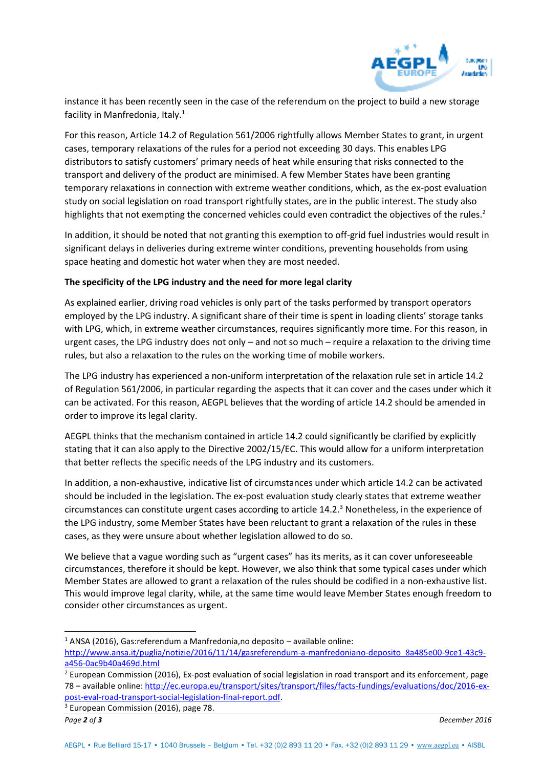

instance it has been recently seen in the case of the referendum on the project to build a new storage facility in Manfredonia, Italy.<sup>1</sup>

For this reason, Article 14.2 of Regulation 561/2006 rightfully allows Member States to grant, in urgent cases, temporary relaxations of the rules for a period not exceeding 30 days. This enables LPG distributors to satisfy customers' primary needs of heat while ensuring that risks connected to the transport and delivery of the product are minimised. A few Member States have been granting temporary relaxations in connection with extreme weather conditions, which, as the ex-post evaluation study on social legislation on road transport rightfully states, are in the public interest. The study also highlights that not exempting the concerned vehicles could even contradict the objectives of the rules.<sup>2</sup>

In addition, it should be noted that not granting this exemption to off-grid fuel industries would result in significant delays in deliveries during extreme winter conditions, preventing households from using space heating and domestic hot water when they are most needed.

## **The specificity of the LPG industry and the need for more legal clarity**

As explained earlier, driving road vehicles is only part of the tasks performed by transport operators employed by the LPG industry. A significant share of their time is spent in loading clients' storage tanks with LPG, which, in extreme weather circumstances, requires significantly more time. For this reason, in urgent cases, the LPG industry does not only – and not so much – require a relaxation to the driving time rules, but also a relaxation to the rules on the working time of mobile workers.

The LPG industry has experienced a non-uniform interpretation of the relaxation rule set in article 14.2 of Regulation 561/2006, in particular regarding the aspects that it can cover and the cases under which it can be activated. For this reason, AEGPL believes that the wording of article 14.2 should be amended in order to improve its legal clarity.

AEGPL thinks that the mechanism contained in article 14.2 could significantly be clarified by explicitly stating that it can also apply to the Directive 2002/15/EC. This would allow for a uniform interpretation that better reflects the specific needs of the LPG industry and its customers.

In addition, a non-exhaustive, indicative list of circumstances under which article 14.2 can be activated should be included in the legislation. The ex-post evaluation study clearly states that extreme weather circumstances can constitute urgent cases according to article  $14.2.^3$  Nonetheless, in the experience of the LPG industry, some Member States have been reluctant to grant a relaxation of the rules in these cases, as they were unsure about whether legislation allowed to do so.

We believe that a vague wording such as "urgent cases" has its merits, as it can cover unforeseeable circumstances, therefore it should be kept. However, we also think that some typical cases under which Member States are allowed to grant a relaxation of the rules should be codified in a non-exhaustive list. This would improve legal clarity, while, at the same time would leave Member States enough freedom to consider other circumstances as urgent.

 $\overline{a}$ 

 $<sup>1</sup>$  ANSA (2016), Gas:referendum a Manfredonia,no deposito – available online:</sup>

[http://www.ansa.it/puglia/notizie/2016/11/14/gasreferendum-a-manfredoniano-deposito\\_8a485e00-9ce1-43c9](http://www.ansa.it/puglia/notizie/2016/11/14/gasreferendum-a-manfredoniano-deposito_8a485e00-9ce1-43c9-a456-0ac9b40a469d.html) [a456-0ac9b40a469d.html](http://www.ansa.it/puglia/notizie/2016/11/14/gasreferendum-a-manfredoniano-deposito_8a485e00-9ce1-43c9-a456-0ac9b40a469d.html)

<sup>&</sup>lt;sup>2</sup> European Commission (2016), Ex-post evaluation of social legislation in road transport and its enforcement, page 78 – available online: [http://ec.europa.eu/transport/sites/transport/files/facts-fundings/evaluations/doc/2016-ex](http://ec.europa.eu/transport/sites/transport/files/facts-fundings/evaluations/doc/2016-ex-post-eval-road-transport-social-legislation-final-report.pdf)[post-eval-road-transport-social-legislation-final-report.pdf.](http://ec.europa.eu/transport/sites/transport/files/facts-fundings/evaluations/doc/2016-ex-post-eval-road-transport-social-legislation-final-report.pdf)

<sup>&</sup>lt;sup>3</sup> European Commission (2016), page 78.